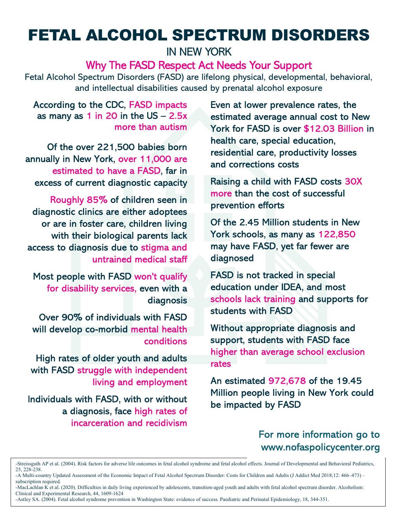# FETAL ALCOHOL SPECTRUM DISORDERS

IN NEW YORK

Why The FASD Respect Act Needs Your Support

Fetal Alcohol Spectrum Disorders (FASD) are lifelong physical, developmental, behavioral, and intellectual disabilities caused by prenatal alcohol exposure

According to the CDC, FASD impacts as many as 1 in 20 in the  $US - 2.5x$ more than autism

Of the over 221,500 babies born annually in New York, over 11,000 are estimated to have a FASD, far in excess of current diagnostic capacity

Roughly 85% of children seen in diagnostic clinics are either adoptees or are in foster care, children living with their biological parents lack access to diagnosis due to stigma and untrained medical staff

Most people with FASD won't qualify for disability services, even with a diagnosis

Over 90% of individuals with FASD will develop co-morbid mental health conditions

High rates of older youth and adults with FASD struggle with independent living and employment

Individuals with FASD, with or without a diagnosis, face high rates of incarceration and recidivism Even at lower prevalence rates, the estimated average annual cost to New York for FASD is over \$12.03 Billion in health care, special education, residential care, productivity losses and corrections costs

Raising a child with FASD costs 30X more than the cost of successful prevention efforts

Of the 2.45 Million students in New York schools, as many as 122,850 may have FASD, yet far fewer are diagnosed

FASD is not tracked in special education under IDEA, and most schools lack training and supports for students with FASD

Without appropriate diagnosis and support, students with FASD face higher than average school exclusion rates

An estimated 972,678 of the 19.45 Million people living in New York could be impacted by FASD

## For more information go to www.nofaspolicycenter.org

-MacLachlan  $K$  et al. (2020). Difficulties in daily living experienced by adolescents, transition-aged youth and adults with fetal alcohol spectrum disorder. Alcoholism: Clinical and Experimental Research, 44, 1609-1624

<sup>-</sup>Streissguth AP et al. (2004). Risk factors for adverse life outcomes in fetal alcohol syndrome and fetal alcohol effects. Journal of Developmental and Behavioral Pediatrics, 25, 228-238.

<sup>-</sup>A Multi-country Updated Assessment of the Economic Impact of Fetal Alcohol Spectrum Disorder: Costs for Children and Adults (J Addict Med 2018;12: 466–473) – subscription required.

<sup>-</sup>Astley SA. (2004). Fetal alcohol syndrome prevention in Washington State: evidence of success. Paediatric and Perinatal Epidemiology, 18, 344-351.